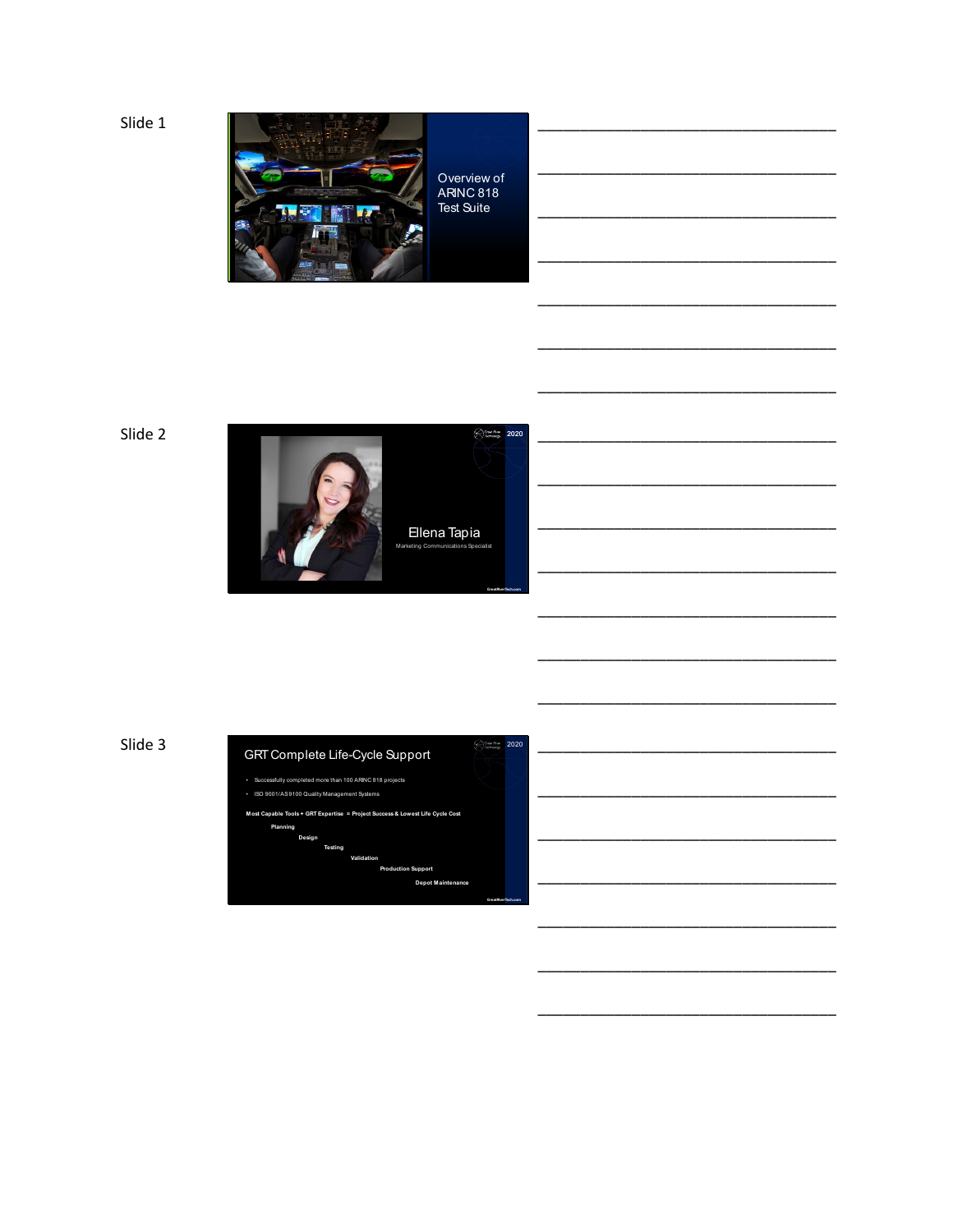Slide 1



Overview of ARINC 818 Test Suite

\_\_\_\_\_\_\_\_\_\_\_\_\_\_\_\_\_\_\_\_\_\_\_\_\_\_\_\_\_\_\_\_\_\_\_

\_\_\_\_\_\_\_\_\_\_\_\_\_\_\_\_\_\_\_\_\_\_\_\_\_\_\_\_\_\_\_\_\_\_\_

\_\_\_\_\_\_\_\_\_\_\_\_\_\_\_\_\_\_\_\_\_\_\_\_\_\_\_\_\_\_\_\_\_\_\_

\_\_\_\_\_\_\_\_\_\_\_\_\_\_\_\_\_\_\_\_\_\_\_\_\_\_\_\_\_\_\_\_\_\_\_

\_\_\_\_\_\_\_\_\_\_\_\_\_\_\_\_\_\_\_\_\_\_\_\_\_\_\_\_\_\_\_\_\_\_\_

\_\_\_\_\_\_\_\_\_\_\_\_\_\_\_\_\_\_\_\_\_\_\_\_\_\_\_\_\_\_\_\_\_\_\_

\_\_\_\_\_\_\_\_\_\_\_\_\_\_\_\_\_\_\_\_\_\_\_\_\_\_\_\_\_\_\_\_\_\_\_

\_\_\_\_\_\_\_\_\_\_\_\_\_\_\_\_\_\_\_\_\_\_\_\_\_\_\_\_\_\_\_\_\_\_\_

\_\_\_\_\_\_\_\_\_\_\_\_\_\_\_\_\_\_\_\_\_\_\_\_\_\_\_\_\_\_\_\_\_\_\_

\_\_\_\_\_\_\_\_\_\_\_\_\_\_\_\_\_\_\_\_\_\_\_\_\_\_\_\_\_\_\_\_\_\_\_

\_\_\_\_\_\_\_\_\_\_\_\_\_\_\_\_\_\_\_\_\_\_\_\_\_\_\_\_\_\_\_\_\_\_\_

\_\_\_\_\_\_\_\_\_\_\_\_\_\_\_\_\_\_\_\_\_\_\_\_\_\_\_\_\_\_\_\_\_\_\_

\_\_\_\_\_\_\_\_\_\_\_\_\_\_\_\_\_\_\_\_\_\_\_\_\_\_\_\_\_\_\_\_\_\_\_

\_\_\_\_\_\_\_\_\_\_\_\_\_\_\_\_\_\_\_\_\_\_\_\_\_\_\_\_\_\_\_\_\_\_\_

\_\_\_\_\_\_\_\_\_\_\_\_\_\_\_\_\_\_\_\_\_\_\_\_\_\_\_\_\_\_\_\_\_\_\_

\_\_\_\_\_\_\_\_\_\_\_\_\_\_\_\_\_\_\_\_\_\_\_\_\_\_\_\_\_\_\_\_\_\_\_



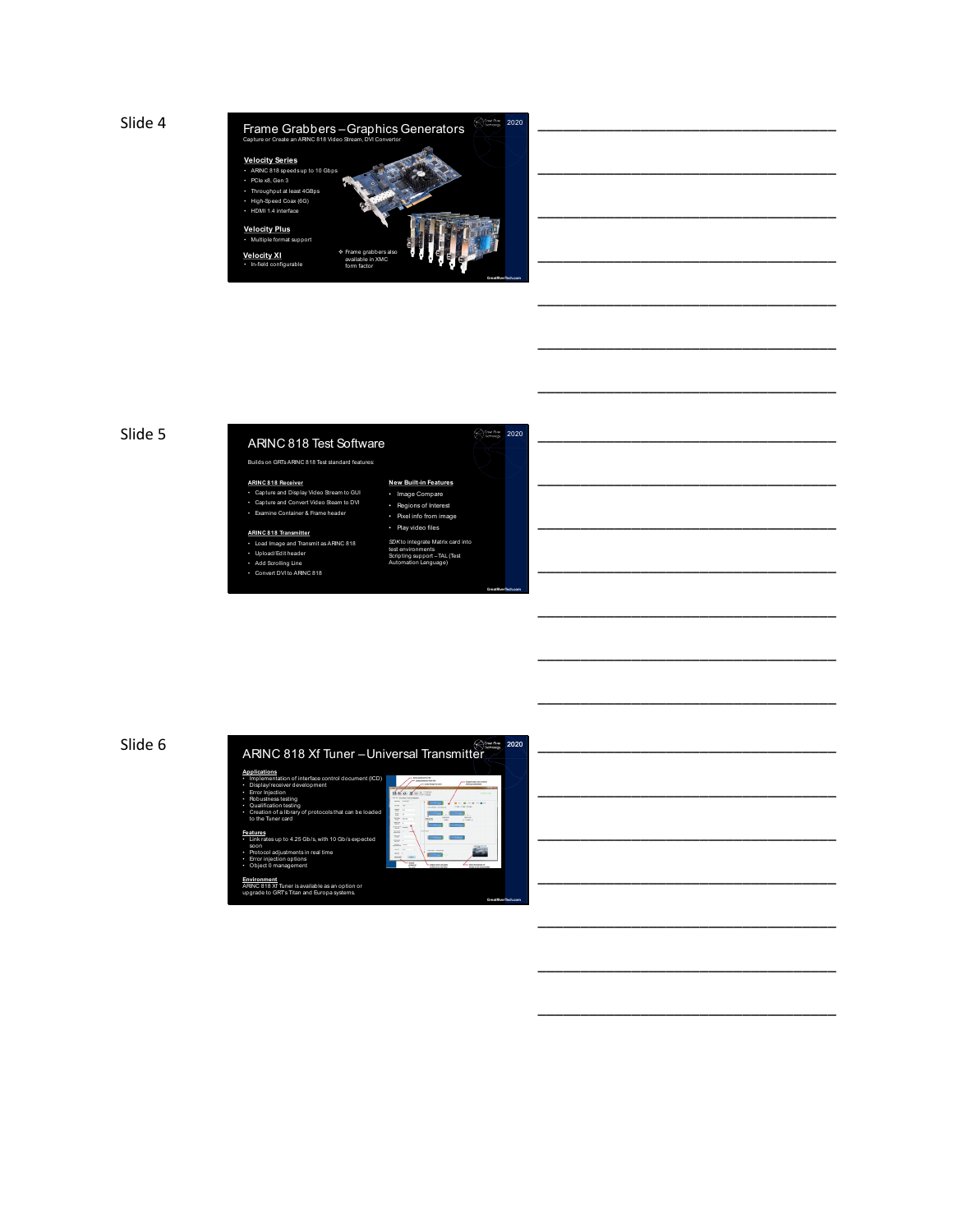

## Slide 5 <sup>2020</sup> ARINC 818 Test Software

# Builds on GRTs ARINC 818 Test standard features: **ARINC 818 Receiver** • Capture and Display Video Stream to GUI • Capture and Convert Video Steam to DVI • Examine Container & Frame header

# • Play video files **ARINC 818 Transmitter** • Load Image and Transmit as ARINC 818 • Upload/Edit header

• Add Scrolling Line • Convert DVI to ARINC 818

### **New Built-in Features Image Compare**<br>**Regions of Interes** ns of Interest Pixel info from im

\_\_\_\_\_\_\_\_\_\_\_\_\_\_\_\_\_\_\_\_\_\_\_\_\_\_\_\_\_\_\_\_\_\_\_

\_\_\_\_\_\_\_\_\_\_\_\_\_\_\_\_\_\_\_\_\_\_\_\_\_\_\_\_\_\_\_\_\_\_\_

\_\_\_\_\_\_\_\_\_\_\_\_\_\_\_\_\_\_\_\_\_\_\_\_\_\_\_\_\_\_\_\_\_\_\_

\_\_\_\_\_\_\_\_\_\_\_\_\_\_\_\_\_\_\_\_\_\_\_\_\_\_\_\_\_\_\_\_\_\_\_

\_\_\_\_\_\_\_\_\_\_\_\_\_\_\_\_\_\_\_\_\_\_\_\_\_\_\_\_\_\_\_\_\_\_\_

\_\_\_\_\_\_\_\_\_\_\_\_\_\_\_\_\_\_\_\_\_\_\_\_\_\_\_\_\_\_\_\_\_\_\_

\_\_\_\_\_\_\_\_\_\_\_\_\_\_\_\_\_\_\_\_\_\_\_\_\_\_\_\_\_\_\_\_\_\_\_

\_\_\_\_\_\_\_\_\_\_\_\_\_\_\_\_\_\_\_\_\_\_\_\_\_\_\_\_\_\_\_\_\_\_\_

\_\_\_\_\_\_\_\_\_\_\_\_\_\_\_\_\_\_\_\_\_\_\_\_\_\_\_\_\_\_\_\_\_\_\_

\_\_\_\_\_\_\_\_\_\_\_\_\_\_\_\_\_\_\_\_\_\_\_\_\_\_\_\_\_\_\_\_\_\_\_

\_\_\_\_\_\_\_\_\_\_\_\_\_\_\_\_\_\_\_\_\_\_\_\_\_\_\_\_\_\_\_\_\_\_\_

*SDK* to integrate Matrix card into<br>test environments<br>Scripting support –TAL (Test<br>Automation Language)

**GreatRiverTech.com**

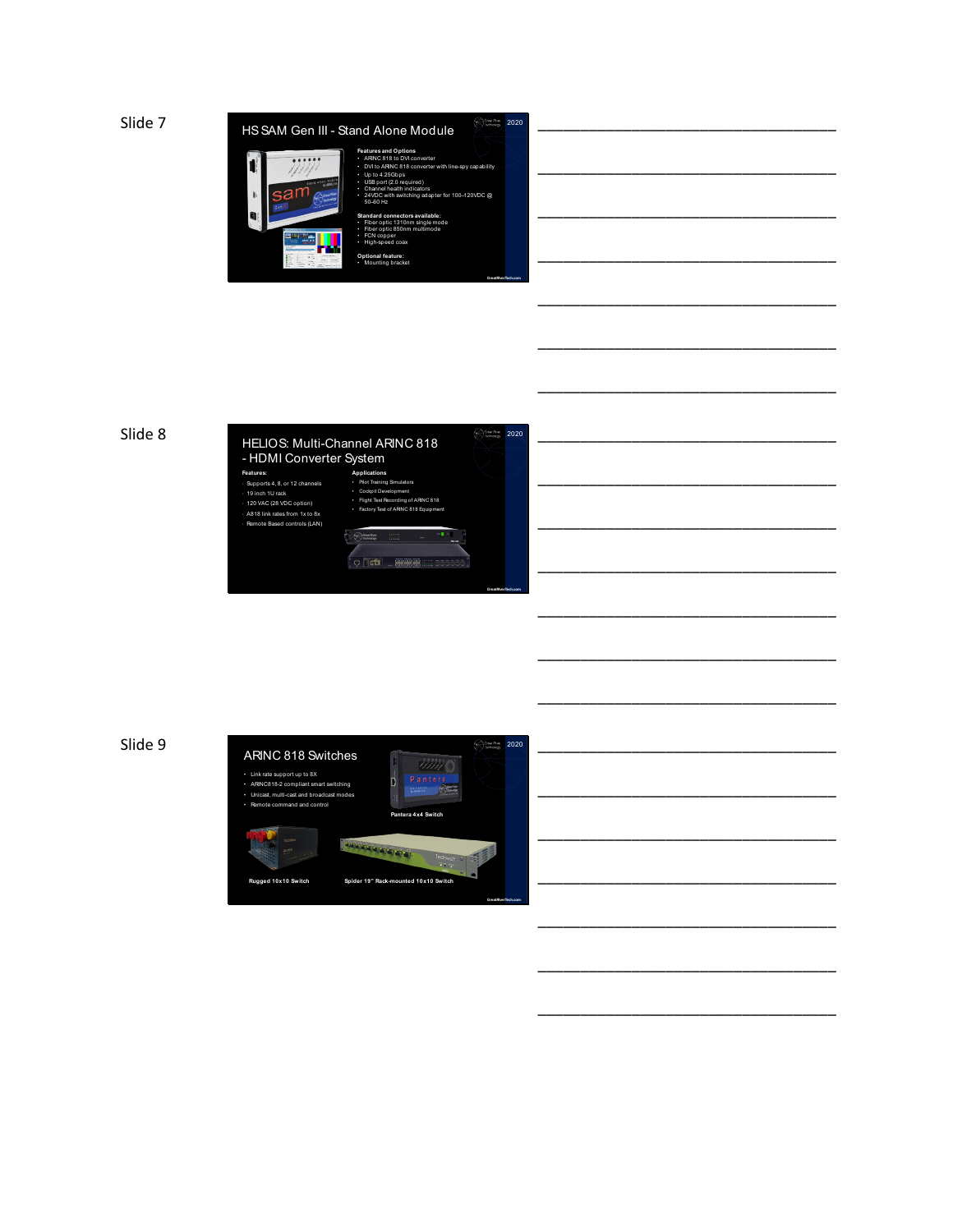



|  |             |  |  |  |  | _____________ |  |
|--|-------------|--|--|--|--|---------------|--|
|  |             |  |  |  |  |               |  |
|  |             |  |  |  |  |               |  |
|  |             |  |  |  |  |               |  |
|  |             |  |  |  |  |               |  |
|  |             |  |  |  |  |               |  |
|  | ___________ |  |  |  |  |               |  |

\_\_\_\_\_\_\_\_\_\_\_\_\_\_\_\_\_\_\_\_\_\_\_\_\_\_\_\_\_\_\_\_\_\_\_

\_\_\_\_\_\_\_\_\_\_\_\_\_\_\_\_\_\_\_\_\_\_\_\_\_\_\_\_\_\_\_\_\_\_\_

\_\_\_\_\_\_\_\_\_\_\_\_\_\_\_\_\_\_\_\_\_\_\_\_\_\_\_\_\_\_\_\_\_\_\_

\_\_\_\_\_\_\_\_\_\_\_\_\_\_\_\_\_\_\_\_\_\_\_\_\_\_\_\_\_\_\_\_\_\_\_

\_\_\_\_\_\_\_\_\_\_\_\_\_\_\_\_\_\_\_\_\_\_\_\_\_\_\_\_\_\_\_\_\_\_\_

\_\_\_\_\_\_\_\_\_\_\_\_\_\_\_\_\_\_\_\_\_\_\_\_\_\_\_\_\_\_\_\_\_\_\_

\_\_\_\_\_\_\_\_\_\_\_\_\_\_\_\_\_\_\_\_\_\_\_\_\_\_\_\_\_\_\_\_\_\_\_

\_\_\_\_\_\_\_\_\_\_\_\_\_\_\_\_\_\_\_\_\_\_\_\_\_\_\_\_\_\_\_\_\_\_\_

\_\_\_\_\_\_\_\_\_\_\_\_\_\_\_\_\_\_\_\_\_\_\_\_\_\_\_\_\_\_\_\_\_\_\_

\_\_\_\_\_\_\_\_\_\_\_\_\_\_\_\_\_\_\_\_\_\_\_\_\_\_\_\_\_\_\_\_\_\_\_

\_\_\_\_\_\_\_\_\_\_\_\_\_\_\_\_\_\_\_\_\_\_\_\_\_\_\_\_\_\_\_\_\_\_\_



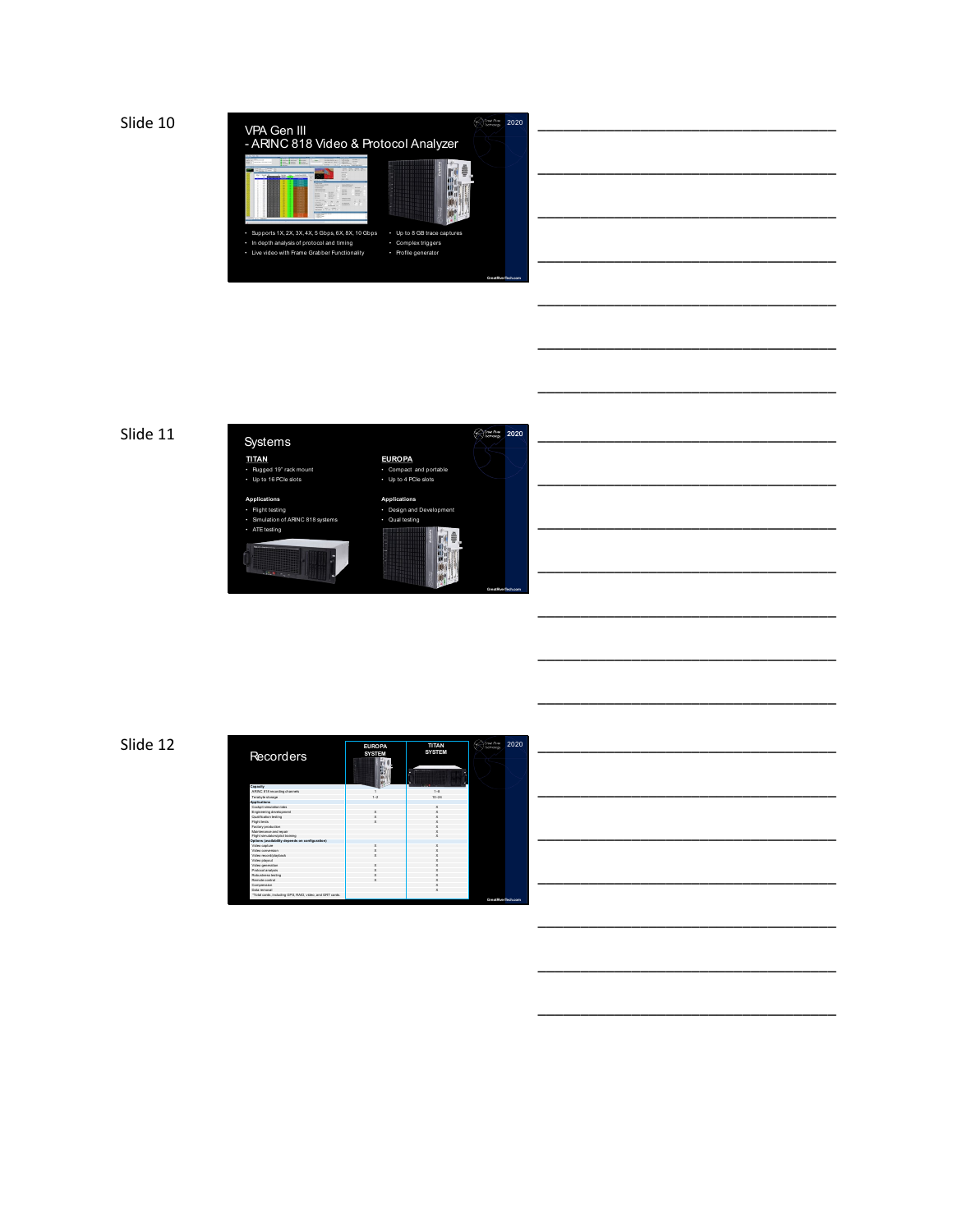







\_\_\_\_\_\_\_\_\_\_\_\_\_\_\_\_\_\_\_\_\_\_\_\_\_\_\_\_\_\_\_\_\_\_\_

\_\_\_\_\_\_\_\_\_\_\_\_\_\_\_\_\_\_\_\_\_\_\_\_\_\_\_\_\_\_\_\_\_\_\_

\_\_\_\_\_\_\_\_\_\_\_\_\_\_\_\_\_\_\_\_\_\_\_\_\_\_\_\_\_\_\_\_\_\_\_

\_\_\_\_\_\_\_\_\_\_\_\_\_\_\_\_\_\_\_\_\_\_\_\_\_\_\_\_\_\_\_\_\_\_\_

\_\_\_\_\_\_\_\_\_\_\_\_\_\_\_\_\_\_\_\_\_\_\_\_\_\_\_\_\_\_\_\_\_\_\_

\_\_\_\_\_\_\_\_\_\_\_\_\_\_\_\_\_\_\_\_\_\_\_\_\_\_\_\_\_\_\_\_\_\_\_

\_\_\_\_\_\_\_\_\_\_\_\_\_\_\_\_\_\_\_\_\_\_\_\_\_\_\_\_\_\_\_\_\_\_\_

\_\_\_\_\_\_\_\_\_\_\_\_\_\_\_\_\_\_\_\_\_\_\_\_\_\_\_\_\_\_\_\_\_\_\_

\_\_\_\_\_\_\_\_\_\_\_\_\_\_\_\_\_\_\_\_\_\_\_\_\_\_\_\_\_\_\_\_\_\_\_

\_\_\_\_\_\_\_\_\_\_\_\_\_\_\_\_\_\_\_\_\_\_\_\_\_\_\_\_\_\_\_\_\_\_\_

\_\_\_\_\_\_\_\_\_\_\_\_\_\_\_\_\_\_\_\_\_\_\_\_\_\_\_\_\_\_\_\_\_\_\_

\_\_\_\_\_\_\_\_\_\_\_\_\_\_\_\_\_\_\_\_\_\_\_\_\_\_\_\_\_\_\_\_\_\_\_

Slide 12

| Recorders                                                | <b>EUROPA</b><br><b>SYSTEM</b><br>ß | <b>TITAN</b><br><b>SYSTEM</b> | Great River<br>2020<br>Technology |
|----------------------------------------------------------|-------------------------------------|-------------------------------|-----------------------------------|
| Capacity                                                 |                                     |                               |                                   |
| ARINC 818 recording channels                             |                                     | 1.8                           |                                   |
| Terabyte atorage                                         | $1 - 2$                             | $10 - 24$                     |                                   |
| Applications                                             |                                     |                               |                                   |
| Cockoit simulation labs                                  |                                     | ×                             |                                   |
| Engineering development                                  |                                     |                               |                                   |
| Qualification testing                                    |                                     |                               |                                   |
| <b>Flight tests</b>                                      |                                     |                               |                                   |
| Factory production                                       |                                     |                               |                                   |
| Maintenance and repair                                   |                                     |                               |                                   |
| Flight simulators/ollot training                         |                                     |                               |                                   |
| Options (availability depends on configuration)          |                                     |                               |                                   |
| Video capture                                            |                                     |                               |                                   |
| Video conserving                                         |                                     |                               |                                   |
| Video record/playback                                    |                                     |                               |                                   |
| Video playout                                            |                                     |                               |                                   |
| Video generation                                         |                                     |                               |                                   |
| Protocol amalysis                                        |                                     |                               |                                   |
| Robustness texting                                       |                                     |                               |                                   |
| Remote control                                           |                                     |                               |                                   |
| Compression                                              |                                     |                               |                                   |
| Data removal                                             |                                     |                               |                                   |
| *Total cards, including GPS, RAID, video, and GRT cards. |                                     |                               | GreatFlyerTech.com                |